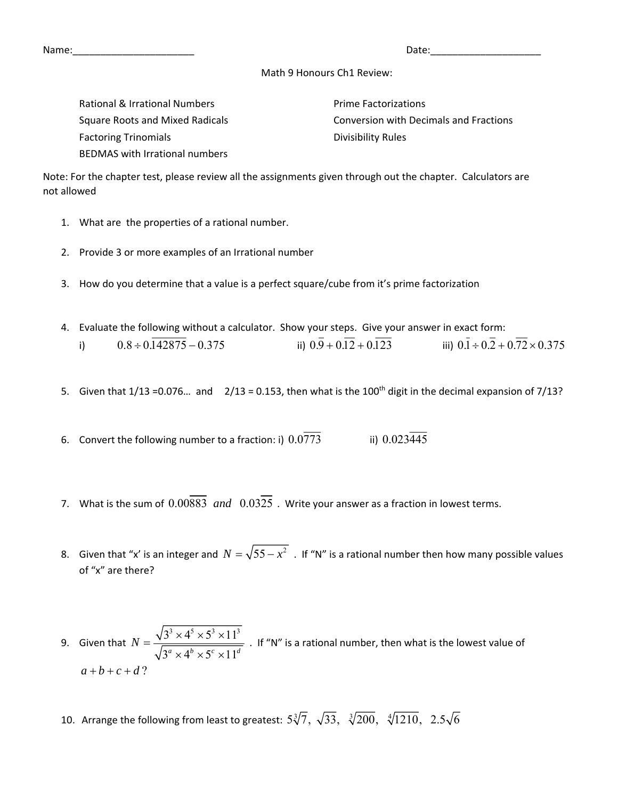Name:\_\_\_\_\_\_\_\_\_\_\_\_\_\_\_\_\_\_\_\_\_\_ Date:\_\_\_\_\_\_\_\_\_\_\_\_\_\_\_\_\_\_\_\_

## Math 9 Honours Ch1 Review:

Rational & Irrational Numbers  $\blacksquare$ Factoring Trinomials **Trinomials Example 20** Divisibility Rules BEDMAS with Irrational numbers

Square Roots and Mixed Radicals Conversion with Decimals and Fractions

Note: For the chapter test, please review all the assignments given through out the chapter. Calculators are not allowed

- 1. What are the properties of a rational number.
- 2. Provide 3 or more examples of an Irrational number
- 3. How do you determine that a value is a perfect square/cube from it's prime factorization
- 4. Evaluate the following without a calculator. Show your steps. Give your answer in exact form: i)  $0.8 \div 0.142875 - 0.375$  iii)  $0.\overline{9} + 0.1\overline{2} + 0.1\overline{2}3$  iiii)  $0.\overline{1} \div 0.\overline{2} + 0.\overline{72} \times 0.375$
- 5. Given that  $1/13 = 0.076...$  and  $2/13 = 0.153$ , then what is the 100<sup>th</sup> digit in the decimal expansion of  $7/13$ ?
- 6. Convert the following number to a fraction: i)  $0.0773$  iii)  $0.023\overline{445}$
- 7. What is the sum of  $0.00883$  and  $0.0325$ . Write your answer as a fraction in lowest terms.
- 8. Given that "x' is an integer and  $N = \sqrt{55 x^2}$ . If "N" is a rational number then how many possible values of "x" are there?

9. Given that  $3^3 \times 4^5 \times 5^3 \times 11^3$  $3^a \times 4^b \times 5^c \times 11^d$  $N = \frac{\sqrt{3^3 \times 4^5 \times 5^3 \times 10^4}}{2}$  $\times$  4<sup>b</sup>  $\times$  5<sup>c</sup>  $\times$ . If "N" is a rational number, then what is the lowest value of  $a+b+c+d$ ?

10. Arrange the following from least to greatest:  $5\sqrt[3]{7}$ ,  $\sqrt{33}$ ,  $\sqrt[3]{200}$ ,  $\sqrt[4]{1210}$ ,  $2.5\sqrt{6}$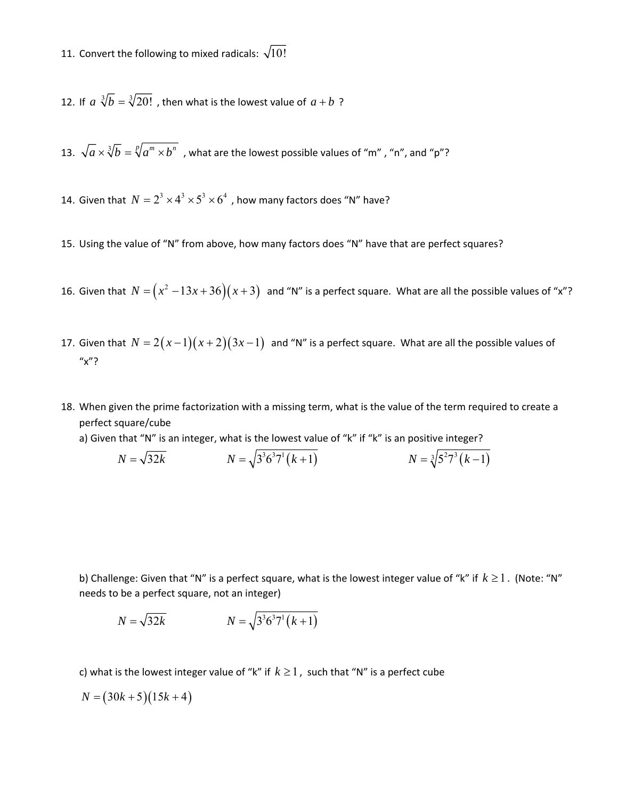11. Convert the following to mixed radicals:  $\sqrt{10!}$ 

12. If  $a \sqrt[3]{b} = \sqrt[3]{20!}$ , then what is the lowest value of  $a + b$ ?

13.  $\sqrt{a} \times \sqrt[3]{b} = \sqrt[p]{a^m \times b^n}$ , what are the lowest possible values of "m", "n", and "p"?

14. Given that  $N = 2^3 \times 4^3 \times 5^3 \times 6^4$ , how many factors does "N" have?

- 15. Using the value of "N" from above, how many factors does "N" have that are perfect squares?
- 16. Given that  $N = (x^2 13x + 36)(x + 3)$  and "N" is a perfect square. What are all the possible values of "x"?
- 17. Given that  $N = 2(x-1)(x+2)(3x-1)$  and "N" is a perfect square. What are all the possible values of "x"?
- 18. When given the prime factorization with a missing term, what is the value of the term required to create a perfect square/cube
	- a) Given that "N" is an integer, what is the lowest value of "k" if "k" is an positive integer?

$$
N = \sqrt{32k} \qquad \qquad N = \sqrt{3^3 6^3 7^1 (k+1)} \qquad \qquad N = \sqrt[3]{5^2 7^3 (k-1)}
$$

b) Challenge: Given that "N" is a perfect square, what is the lowest integer value of "k" if  $k \ge 1$ . (Note: "N" needs to be a perfect square, not an integer)

$$
N = \sqrt{32k} \qquad \qquad N = \sqrt{3^3 6^3 7^1 (k+1)}
$$

c) what is the lowest integer value of "k" if  $k \ge 1$ , such that "N" is a perfect cube

 $N = (30k + 5)(15k + 4)$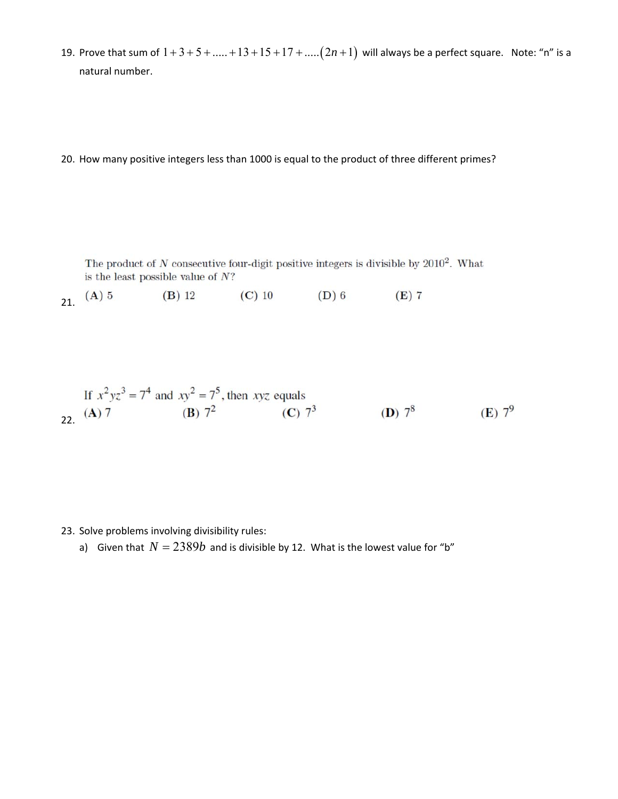19. Prove that sum of  $1 + 3 + 5 + \dots + 13 + 15 + 17 + \dots$  ( $2n + 1$ ) will always be a perfect square. Note: "n" is a natural number.

20. How many positive integers less than 1000 is equal to the product of three different primes?

The product of  $N$  consecutive four-digit positive integers is divisible by  $2010^2$ . What is the least possible value of  $N$ ?

21.  $(A) 5$  $(B)$  12  $(C)$  10  $(D)$  6  $(E)$  7

If 
$$
x^2yz^3 = 7^4
$$
 and  $xy^2 = 7^5$ , then  $xyz$  equals  
(A) 7 (B)  $7^2$  (C)  $7^3$  (D)  $7^8$  (E)  $7^9$ 

23. Solve problems involving divisibility rules:

a) Given that  $N = 2389b$  and is divisible by 12. What is the lowest value for "b"